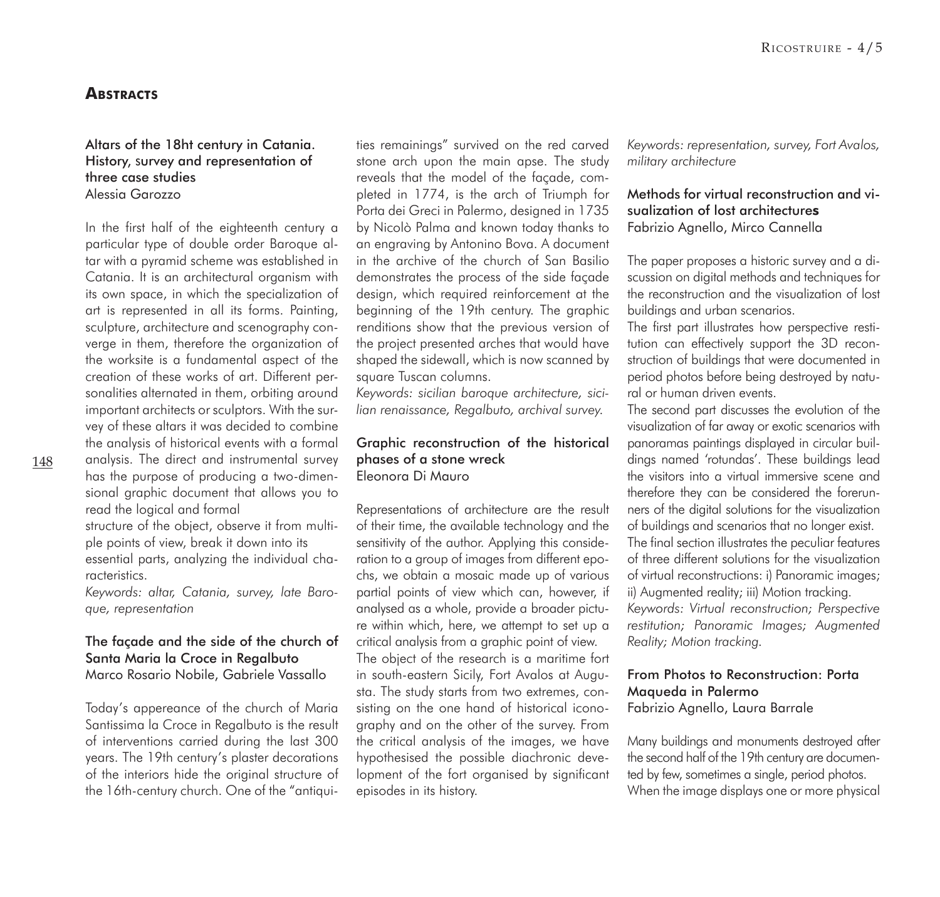# **ABSTRACTS**

#### Altars of the 18ht century in Catania. History, survey and representation of three case studies Alessia Garozzo

In the first half of the eighteenth century a particular type of double order Baroque altar with a pyramid scheme was established in Catania. It is an architectural organism with its own space, in which the specialization of art is represented in all its forms. Painting, sculpture, architecture and scenography converge in them, therefore the organization of the worksite is a fundamental aspect of the creation of these works of art. Different personalities alternated in them, orbiting around important architects or sculptors. With the survey of these altars it was decided to combine the analysis of historical events with a formal analysis. The direct and instrumental survey has the purpose of producing a two-dimen-

sional graphic document that allows you to read the logical and formal

structure of the object, observe it from multiple points of view, break it down into its essential parts, analyzing the individual characteristics.

*Keywords: altar, Catania, survey, late Baroque, representation*

## The façade and the side of the church of Santa Maria la Croce in Regalbuto Marco Rosario Nobile, Gabriele Vassallo

Today's appereance of the church of Maria Santissima la Croce in Regalbuto is the result of interventions carried during the last 300 years. The 19th century's plaster decorations of the interiors hide the original structure of the 16th-century church. One of the "antiqui-

ties remainings" survived on the red carved stone arch upon the main apse. The study reveals that the model of the façade, completed in 1774, is the arch of Triumph for Porta dei Greci in Palermo, designed in 1735 by Nicolò Palma and known today thanks to an engraving by Antonino Bova. A document in the archive of the church of San Basilio demonstrates the process of the side façade design, which required reinforcement at the beginning of the 19th century. The graphic renditions show that the previous version of the project presented arches that would have shaped the sidewall, which is now scanned by square Tuscan columns.

*Keywords: sicilian baroque architecture, sicilian renaissance, Regalbuto, archival survey.*

## Graphic reconstruction of the historical phases of a stone wreck Eleonora Di Mauro

Representations of architecture are the result of their time, the available technology and the sensitivity of the author. Applying this consideration to a group of images from different epochs, we obtain a mosaic made up of various partial points of view which can, however, if analysed as a whole, provide a broader picture within which, here, we attempt to set up a critical analysis from a graphic point of view. The object of the research is a maritime fort in south-eastern Sicily, Fort Avalos at Augusta. The study starts from two extremes, consisting on the one hand of historical iconography and on the other of the survey. From the critical analysis of the images, we have hypothesised the possible diachronic development of the fort organised by significant episodes in its history.

*Keywords: representation, survey, Fort Avalos, military architecture*

# Methods for virtual reconstruction and visualization of lost architecture**s** Fabrizio Agnello, Mirco Cannella

The paper proposes a historic survey and a discussion on digital methods and techniques for the reconstruction and the visualization of lost buildings and urban scenarios.

The first part illustrates how perspective restitution can effectively support the 3D reconstruction of buildings that were documented in period photos before being destroyed by natural or human driven events.

The second part discusses the evolution of the visualization of far away or exotic scenarios with panoramas paintings displayed in circular buildings named 'rotundas'. These buildings lead the visitors into a virtual immersive scene and therefore they can be considered the forerunners of the digital solutions for the visualization of buildings and scenarios that no longer exist. The final section illustrates the peculiar features of three different solutions for the visualization of virtual reconstructions: i) Panoramic images; ii) Augmented reality; iii) Motion tracking. *Keywords: Virtual reconstruction; Perspective restitution; Panoramic Images; Augmented* 

# From Photos to Reconstruction: Porta Maqueda in Palermo Fabrizio Agnello, Laura Barrale

*Reality; Motion tracking.*

Many buildings and monuments destroyed after the second half of the 19th century are documented by few, sometimes a single, period photos. When the image displays one or more physical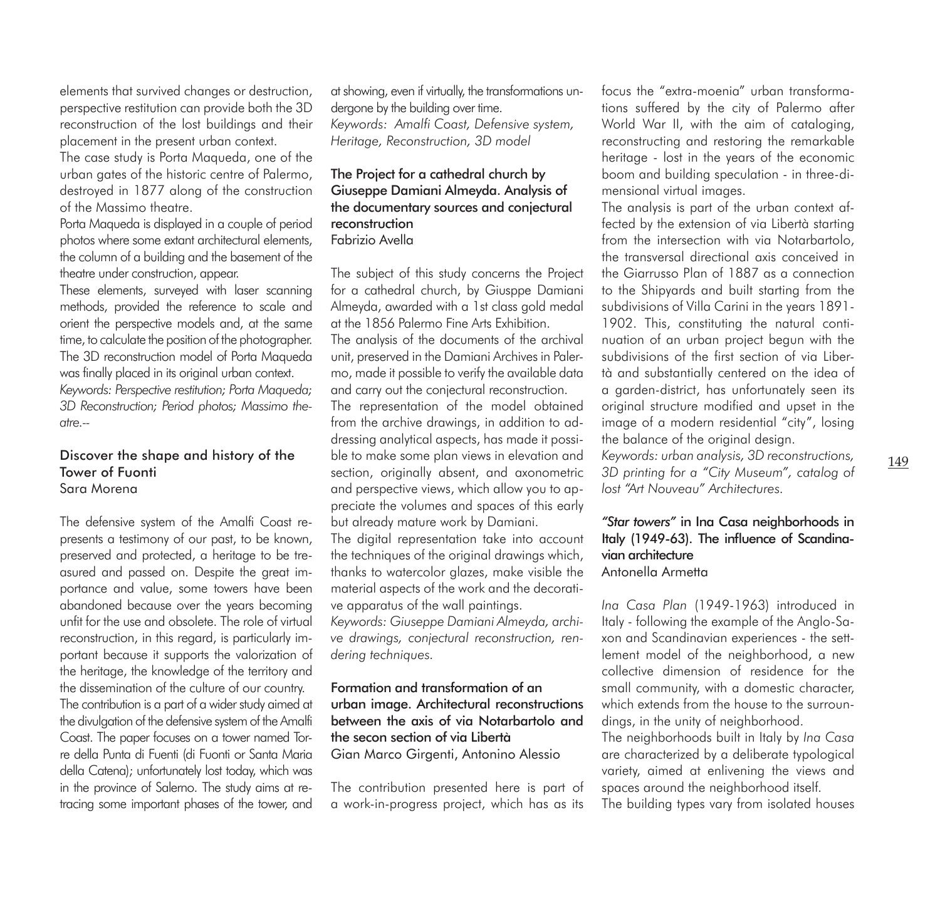elements that survived changes or destruction, perspective restitution can provide both the 3D reconstruction of the lost buildings and their placement in the present urban context.

The case study is Porta Maqueda, one of the urban gates of the historic centre of Palermo, destroyed in 1877 along of the construction of the Massimo theatre.

Porta Maqueda is displayed in a couple of period photos where some extant architectural elements, the column of a building and the basement of the theatre under construction, appear.

These elements, surveyed with laser scanning methods, provided the reference to scale and orient the perspective models and, at the same time, to calculate the position of the photographer. The 3D reconstruction model of Porta Maqueda was finally placed in its original urban context. *Keywords: Perspective restitution; Porta Maqueda; 3D Reconstruction; Period photos; Massimo theatre.--*

#### Discover the shape and history of the Tower of Fuonti Sara Morena

The defensive system of the Amalfi Coast represents a testimony of our past, to be known, preserved and protected, a heritage to be treasured and passed on. Despite the great importance and value, some towers have been abandoned because over the years becoming unfit for the use and obsolete. The role of virtual reconstruction, in this regard, is particularly important because it supports the valorization of the heritage, the knowledge of the territory and the dissemination of the culture of our country. The contribution is a part of a wider study aimed at the divulgation of the defensive system of the Amalfi Coast. The paper focuses on a tower named Torre della Punta di Fuenti (di Fuonti or Santa Maria della Catena); unfortunately lost today, which was in the province of Salerno. The study aims at retracing some important phases of the tower, and

at showing, even if virtually, the transformations undergone by the building over time. *Keywords: Amalfi Coast, Defensive system, Heritage, Reconstruction, 3D model*

## The Project for a cathedral church by Giuseppe Damiani Almeyda. Analysis of the documentary sources and conjectural reconstruction Fabrizio Avella

The subject of this study concerns the Project for a cathedral church, by Giusppe Damiani Almeyda, awarded with a 1st class gold medal at the 1856 Palermo Fine Arts Exhibition. The analysis of the documents of the archival

unit, preserved in the Damiani Archives in Palermo, made it possible to verify the available data and carry out the conjectural reconstruction.

The representation of the model obtained from the archive drawings, in addition to addressing analytical aspects, has made it possible to make some plan views in elevation and section, originally absent, and axonometric and perspective views, which allow you to appreciate the volumes and spaces of this early but already mature work by Damiani.

The digital representation take into account the techniques of the original drawings which, thanks to watercolor glazes, make visible the material aspects of the work and the decorative apparatus of the wall paintings.

*Keywords: Giuseppe Damiani Almeyda, archive drawings, conjectural reconstruction, rendering techniques.*

## Formation and transformation of an urban image. Architectural reconstructions between the axis of via Notarbartolo and the secon section of via Libertà Gian Marco Girgenti, Antonino Alessio

The contribution presented here is part of a work-in-progress project, which has as its

focus the "extra-moenia" urban transformations suffered by the city of Palermo after World War II, with the aim of cataloging, reconstructing and restoring the remarkable heritage - lost in the years of the economic boom and building speculation - in three-dimensional virtual images.

The analysis is part of the urban context affected by the extension of via Libertà starting from the intersection with via Notarbartolo, the transversal directional axis conceived in the Giarrusso Plan of 1887 as a connection to the Shipyards and built starting from the subdivisions of Villa Carini in the years 1891- 1902. This, constituting the natural continuation of an urban project begun with the subdivisions of the first section of via Libertà and substantially centered on the idea of a garden-district, has unfortunately seen its original structure modified and upset in the image of a modern residential "city", losing the balance of the original design.

*Keywords: urban analysis, 3D reconstructions, 3D printing for a "City Museum", catalog of lost "Art Nouveau" Architectures.*

## *"Star towers"* in Ina Casa neighborhoods in Italy (1949-63). The influence of Scandinavian architecture Antonella Armetta

*Ina Casa Plan* (1949-1963) introduced in Italy - following the example of the Anglo-Saxon and Scandinavian experiences - the settlement model of the neighborhood, a new collective dimension of residence for the small community, with a domestic character, which extends from the house to the surroundings, in the unity of neighborhood.

The neighborhoods built in Italy by *Ina Casa*  are characterized by a deliberate typological variety, aimed at enlivening the views and spaces around the neighborhood itself.

The building types vary from isolated houses